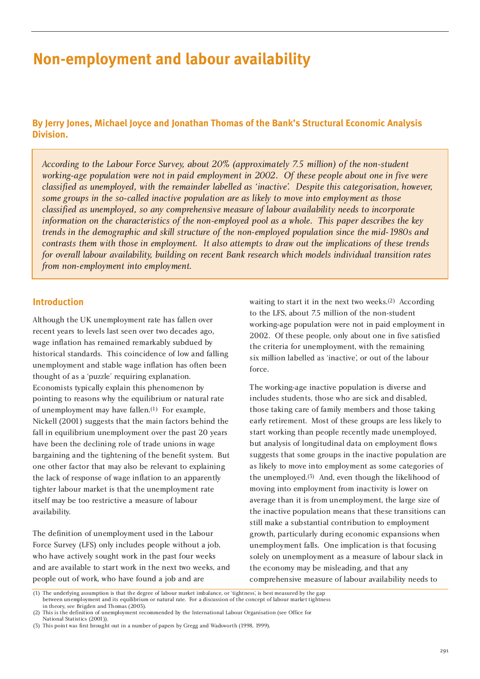# **Non-employment and labour availability**

# **By Jerry Jones, Michael Joyce and Jonathan Thomas of the Bank's Structural Economic Analysis Division.**

*According to the Labour Force Survey, about 20% (approximately 7.5 million) of the non-student working-age population were not in paid employment in 2002. Of these people about one in five were classified as unemployed, with the remainder labelled as 'inactive'. Despite this categorisation, however, some groups in the so-called inactive population are as likely to move into employment as those classified as unemployed, so any comprehensive measure of labour availability needs to incorporate information on the characteristics of the non-employed pool as a whole. This paper describes the key trends in the demographic and skill structure of the non-employed population since the mid-1980s and contrasts them with those in employment. It also attempts to draw out the implications of these trends for overall labour availability, building on recent Bank research which models individual transition rates from non-employment into employment.* 

### **Introduction**

Although the UK unemployment rate has fallen over recent years to levels last seen over two decades ago, wage inflation has remained remarkably subdued by historical standards. This coincidence of low and falling unemployment and stable wage inflation has often been thought of as a 'puzzle' requiring explanation. Economists typically explain this phenomenon by pointing to reasons why the equilibrium or natural rate of unemployment may have fallen.(1) For example, Nickell (2001) suggests that the main factors behind the fall in equilibrium unemployment over the past 20 years have been the declining role of trade unions in wage bargaining and the tightening of the benefit system. But one other factor that may also be relevant to explaining the lack of response of wage inflation to an apparently tighter labour market is that the unemployment rate itself may be too restrictive a measure of labour availability.

The definition of unemployment used in the Labour Force Survey (LFS) only includes people without a job, who have actively sought work in the past four weeks and are available to start work in the next two weeks, and people out of work, who have found a job and are

waiting to start it in the next two weeks.(2) According to the LFS, about 7.5 million of the non-student working-age population were not in paid employment in 2002. Of these people, only about one in five satisfied the criteria for unemployment, with the remaining six million labelled as 'inactive', or out of the labour force.

The working-age inactive population is diverse and includes students, those who are sick and disabled, those taking care of family members and those taking early retirement. Most of these groups are less likely to start working than people recently made unemployed, but analysis of longitudinal data on employment flows suggests that some groups in the inactive population are as likely to move into employment as some categories of the unemployed.(3) And, even though the likelihood of moving into employment from inactivity is lower on average than it is from unemployment, the large size of the inactive population means that these transitions can still make a substantial contribution to employment growth, particularly during economic expansions when unemployment falls. One implication is that focusing solely on unemployment as a measure of labour slack in the economy may be misleading, and that any comprehensive measure of labour availability needs to

<sup>(1)</sup> The underlying assumption is that the degree of labour market imbalance, or 'tightness', is best measured by the gap between unemployment and its equilibrium or natural rate. For a discussion of the concept of labour market tightness in theory, see Brigden and Thomas (2003).

<sup>(2)</sup> This is the definition of unemployment recommended by the International Labour Organisation (see Office for National Statistics (2001)).

<sup>(3)</sup> This point was first brought out in a number of papers by Gregg and Wadsworth (1998, 1999).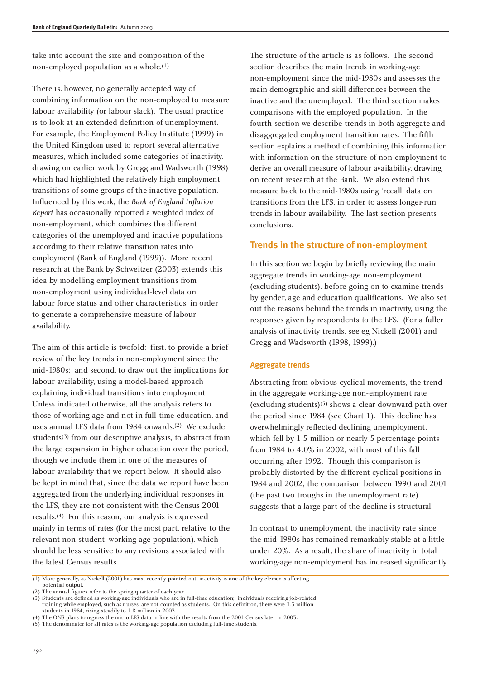take into account the size and composition of the non-employed population as a whole.(1)

There is, however, no generally accepted way of combining information on the non-employed to measure labour availability (or labour slack). The usual practice is to look at an extended definition of unemployment. For example, the Employment Policy Institute (1999) in the United Kingdom used to report several alternative measures, which included some categories of inactivity, drawing on earlier work by Gregg and Wadsworth (1998) which had highlighted the relatively high employment transitions of some groups of the inactive population. Influenced by this work, the *Bank of England Inflation Report* has occasionally reported a weighted index of non-employment, which combines the different categories of the unemployed and inactive populations according to their relative transition rates into employment (Bank of England (1999)). More recent research at the Bank by Schweitzer (2003) extends this idea by modelling employment transitions from non-employment using individual-level data on labour force status and other characteristics, in order to generate a comprehensive measure of labour availability.

The aim of this article is twofold: first, to provide a brief review of the key trends in non-employment since the mid-1980s; and second, to draw out the implications for labour availability, using a model-based approach explaining individual transitions into employment. Unless indicated otherwise, all the analysis refers to those of working age and not in full-time education, and uses annual LFS data from 1984 onwards.(2) We exclude students<sup>(3)</sup> from our descriptive analysis, to abstract from the large expansion in higher education over the period, though we include them in one of the measures of labour availability that we report below. It should also be kept in mind that, since the data we report have been aggregated from the underlying individual responses in the LFS, they are not consistent with the Census 2001 results.(4) For this reason, our analysis is expressed mainly in terms of rates (for the most part, relative to the relevant non-student, working-age population), which should be less sensitive to any revisions associated with the latest Census results.

The structure of the article is as follows. The second section describes the main trends in working-age non-employment since the mid-1980s and assesses the main demographic and skill differences between the inactive and the unemployed. The third section makes comparisons with the employed population. In the fourth section we describe trends in both aggregate and disaggregated employment transition rates. The fifth section explains a method of combining this information with information on the structure of non-employment to derive an overall measure of labour availability, drawing on recent research at the Bank. We also extend this measure back to the mid-1980s using 'recall' data on transitions from the LFS, in order to assess longer-run trends in labour availability. The last section presents conclusions.

### **Trends in the structure of non-employment**

In this section we begin by briefly reviewing the main aggregate trends in working-age non-employment (excluding students), before going on to examine trends by gender, age and education qualifications. We also set out the reasons behind the trends in inactivity, using the responses given by respondents to the LFS. (For a fuller analysis of inactivity trends, see eg Nickell (2001) and Gregg and Wadsworth (1998, 1999).)

#### **Aggregate trends**

Abstracting from obvious cyclical movements, the trend in the aggregate working-age non-employment rate (excluding students)(5) shows a clear downward path over the period since 1984 (see Chart 1). This decline has overwhelmingly reflected declining unemployment, which fell by 1.5 million or nearly 5 percentage points from 1984 to 4.0% in 2002, with most of this fall occurring after 1992. Though this comparison is probably distorted by the different cyclical positions in 1984 and 2002, the comparison between 1990 and 2001 (the past two troughs in the unemployment rate) suggests that a large part of the decline is structural.

In contrast to unemployment, the inactivity rate since the mid-1980s has remained remarkably stable at a little under 20%. As a result, the share of inactivity in total working-age non-employment has increased significantly

(1) More generally, as Nickell (2001) has most recently pointed out, inactivity is one of the key elements affecting potential output.

(2) The annual figures refer to the spring quarter of each year.

(3) Students are defined as working-age individuals who are in full-time education; individuals receiving job-related training while employed, such as nurses, are not counted as students. On this definition, there were 1.3 million students in 1984, rising steadily to 1.8 million in 2002.

<sup>(4)</sup> The ONS plans to regross the micro LFS data in line with the results from the 2001 Census later in 2003.

<sup>(5)</sup> The denominator for all rates is the working-age population excluding full-time students.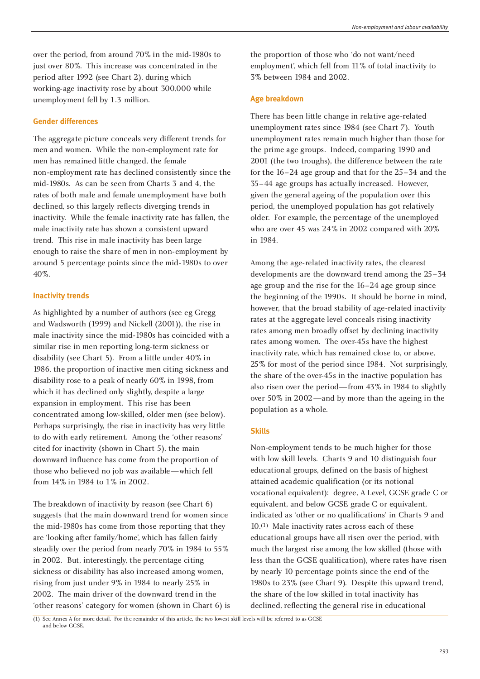over the period, from around 70% in the mid-1980s to just over 80%. This increase was concentrated in the period after 1992 (see Chart 2), during which working-age inactivity rose by about 300,000 while unemployment fell by 1.3 million.

### **Gender differences**

The aggregate picture conceals very different trends for men and women. While the non-employment rate for men has remained little changed, the female non-employment rate has declined consistently since the mid-1980s. As can be seen from Charts 3 and 4, the rates of both male and female unemployment have both declined, so this largely reflects diverging trends in inactivity. While the female inactivity rate has fallen, the male inactivity rate has shown a consistent upward trend. This rise in male inactivity has been large enough to raise the share of men in non-employment by around 5 percentage points since the mid-1980s to over 40%.

#### **Inactivity trends**

As highlighted by a number of authors (see eg Gregg and Wadsworth (1999) and Nickell (2001)), the rise in male inactivity since the mid-1980s has coincided with a similar rise in men reporting long-term sickness or disability (see Chart 5). From a little under 40% in 1986, the proportion of inactive men citing sickness and disability rose to a peak of nearly 60% in 1998, from which it has declined only slightly, despite a large expansion in employment. This rise has been concentrated among low-skilled, older men (see below). Perhaps surprisingly, the rise in inactivity has very little to do with early retirement. Among the 'other reasons' cited for inactivity (shown in Chart 5), the main downward influence has come from the proportion of those who believed no job was available—which fell from 14% in 1984 to 1% in 2002.

The breakdown of inactivity by reason (see Chart 6) suggests that the main downward trend for women since the mid-1980s has come from those reporting that they are 'looking after family/home', which has fallen fairly steadily over the period from nearly 70% in 1984 to 55% in 2002. But, interestingly, the percentage citing sickness or disability has also increased among women, rising from just under 9% in 1984 to nearly 25% in 2002. The main driver of the downward trend in the 'other reasons' category for women (shown in Chart 6) is the proportion of those who 'do not want/need employment', which fell from 11% of total inactivity to 3% between 1984 and 2002.

### **Age breakdown**

There has been little change in relative age-related unemployment rates since 1984 (see Chart 7). Youth unemployment rates remain much higher than those for the prime age groups. Indeed, comparing 1990 and 2001 (the two troughs), the difference between the rate for the 16–24 age group and that for the 25–34 and the 35–44 age groups has actually increased. However, given the general ageing of the population over this period, the unemployed population has got relatively older. For example, the percentage of the unemployed who are over 45 was 24% in 2002 compared with 20% in 1984.

Among the age-related inactivity rates, the clearest developments are the downward trend among the 25–34 age group and the rise for the 16–24 age group since the beginning of the 1990s. It should be borne in mind, however, that the broad stability of age-related inactivity rates at the aggregate level conceals rising inactivity rates among men broadly offset by declining inactivity rates among women. The over-45s have the highest inactivity rate, which has remained close to, or above, 25% for most of the period since 1984. Not surprisingly, the share of the over-45s in the inactive population has also risen over the period—from 43% in 1984 to slightly over 50% in 2002—and by more than the ageing in the population as a whole.

### **Skills**

Non-employment tends to be much higher for those with low skill levels. Charts 9 and 10 distinguish four educational groups, defined on the basis of highest attained academic qualification (or its notional vocational equivalent): degree, A Level, GCSE grade C or equivalent, and below GCSE grade C or equivalent, indicated as 'other or no qualifications' in Charts 9 and 10.(1) Male inactivity rates across each of these educational groups have all risen over the period, with much the largest rise among the low skilled (those with less than the GCSE qualification), where rates have risen by nearly 10 percentage points since the end of the 1980s to 23% (see Chart 9). Despite this upward trend, the share of the low skilled in total inactivity has declined, reflecting the general rise in educational

(1) See Annex A for more detail. For the remainder of this article, the two lowest skill levels will be referred to as GCSE and below GCSE.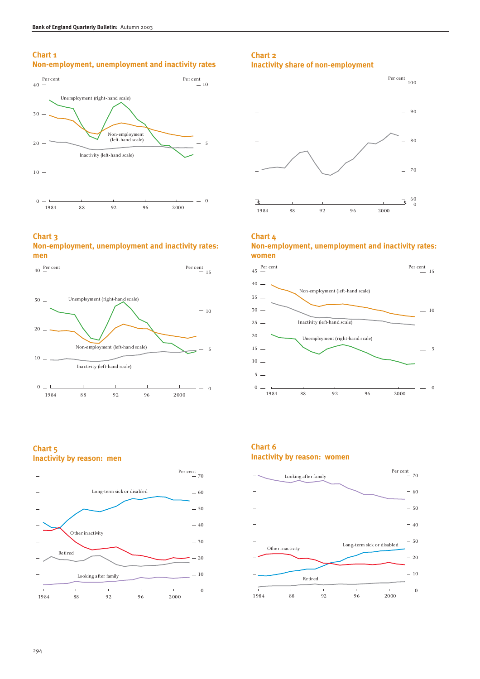# **Chart 1**

# **Non-employment, unemployment and inactivity rates**



#### **Chart 3 Non-employment, unemployment and inactivity rates: men**





### **Chart 2 Inactivity share of non-employment**



#### **Chart 4 Non-employment, unemployment and inactivity rates: women**



## **Chart 5 Inactivity by reason: men**



## **Chart 6 Inactivity by reason: women**

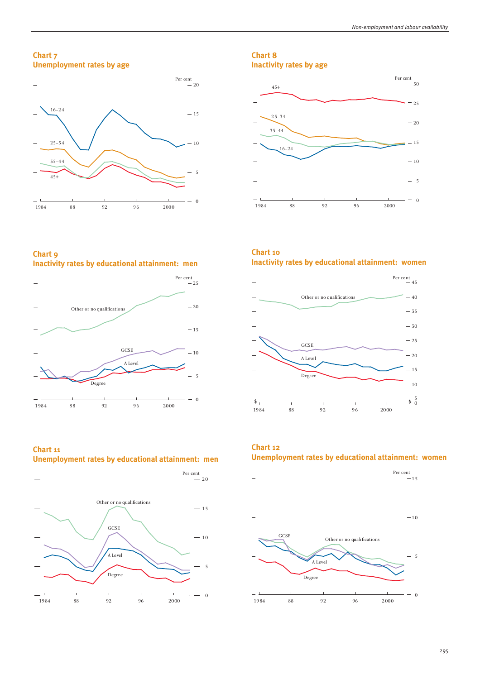**Chart 7 Unemployment rates by age**



## **Chart 8 Inactivity rates by age**



**Chart 9 Inactivity rates by educational attainment: men**



**Chart 11 Unemployment rates by educational attainment: men**



# **Chart 10 Inactivity rates by educational attainment: women**



**Chart 12 Unemployment rates by educational attainment: women**

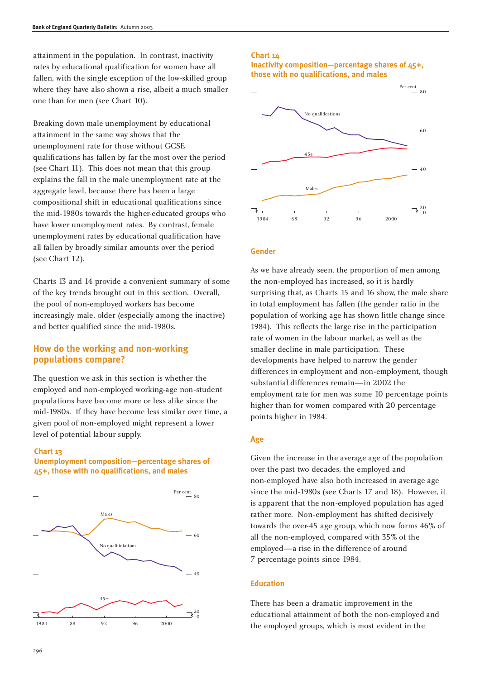attainment in the population. In contrast, inactivity rates by educational qualification for women have all fallen, with the single exception of the low-skilled group where they have also shown a rise, albeit a much smaller one than for men (see Chart 10).

Breaking down male unemployment by educational attainment in the same way shows that the unemployment rate for those without GCSE qualifications has fallen by far the most over the period (see Chart 11). This does not mean that this group explains the fall in the male unemployment rate at the aggregate level, because there has been a large compositional shift in educational qualifications since the mid-1980s towards the higher-educated groups who have lower unemployment rates. By contrast, female unemployment rates by educational qualification have all fallen by broadly similar amounts over the period (see Chart 12).

Charts 13 and 14 provide a convenient summary of some of the key trends brought out in this section. Overall, the pool of non-employed workers has become increasingly male, older (especially among the inactive) and better qualified since the mid-1980s.

## **How do the working and non-working populations compare?**

The question we ask in this section is whether the employed and non-employed working-age non-student populations have become more or less alike since the mid-1980s. If they have become less similar over time, a given pool of non-employed might represent a lower level of potential labour supply.

#### **Chart 13**

#### **Unemployment composition—percentage shares of 45+, those with no qualifications, and males**



### **Chart 14**

#### **Inactivity composition—percentage shares of 45+, those with no qualifications, and males**



#### **Gender**

As we have already seen, the proportion of men among the non-employed has increased, so it is hardly surprising that, as Charts 15 and 16 show, the male share in total employment has fallen (the gender ratio in the population of working age has shown little change since 1984). This reflects the large rise in the participation rate of women in the labour market, as well as the smaller decline in male participation. These developments have helped to narrow the gender differences in employment and non-employment, though substantial differences remain—in 2002 the employment rate for men was some 10 percentage points higher than for women compared with 20 percentage points higher in 1984.

#### **Age**

Given the increase in the average age of the population over the past two decades, the employed and non-employed have also both increased in average age since the mid-1980s (see Charts 17 and 18). However, it is apparent that the non-employed population has aged rather more. Non-employment has shifted decisively towards the over-45 age group, which now forms 46% of all the non-employed, compared with 35% of the employed—a rise in the difference of around 7 percentage points since 1984.

#### **Education**

There has been a dramatic improvement in the educational attainment of both the non-employed and the employed groups, which is most evident in the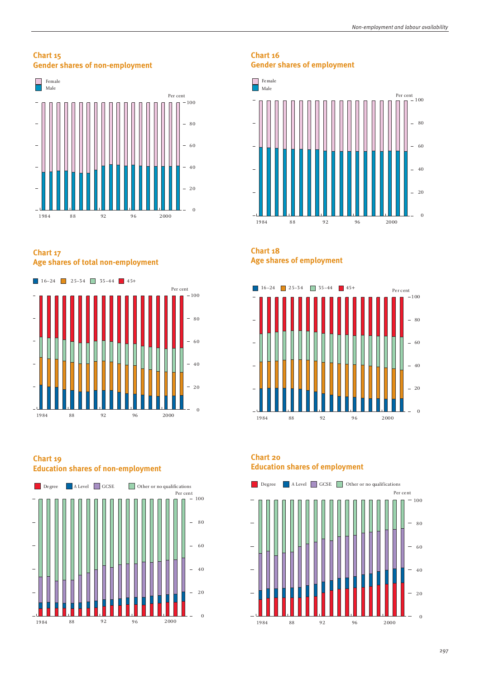### **Chart 15 Gender shares of non-employment**



**Chart 17 Age shares of total non-employment**



### **Chart 19 Education shares of non-employment**



# **Chart 16 Gender shares of employment**



# **Chart 18 Age shares of employment**



# **Chart 20 Education shares of employment**

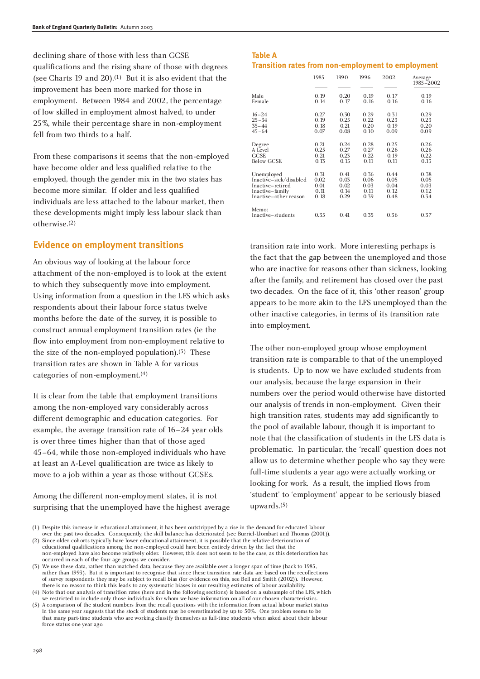declining share of those with less than GCSE qualifications and the rising share of those with degrees (see Charts 19 and 20).(1) But it is also evident that the improvement has been more marked for those in employment. Between 1984 and 2002, the percentage of low skilled in employment almost halved, to under 25%, while their percentage share in non-employment fell from two thirds to a half.

From these comparisons it seems that the non-employed have become older and less qualified relative to the employed, though the gender mix in the two states has become more similar. If older and less qualified individuals are less attached to the labour market, then these developments might imply less labour slack than otherwise.(2)

### **Evidence on employment transitions**

An obvious way of looking at the labour force attachment of the non-employed is to look at the extent to which they subsequently move into employment. Using information from a question in the LFS which asks respondents about their labour force status twelve months before the date of the survey, it is possible to construct annual employment transition rates (ie the flow into employment from non-employment relative to the size of the non-employed population).<sup>(3)</sup> These transition rates are shown in Table A for various categories of non-employment.(4)

It is clear from the table that employment transitions among the non-employed vary considerably across different demographic and education categories. For example, the average transition rate of 16–24 year olds is over three times higher than that of those aged 45–64, while those non-employed individuals who have at least an A-Level qualification are twice as likely to move to a job within a year as those without GCSEs.

Among the different non-employment states, it is not surprising that the unemployed have the highest average

### **Table A Transition rates from non-employment to employment**

|                            | 1985 | 1990 | 1996 | 2002 | Average<br>1985-2002 |
|----------------------------|------|------|------|------|----------------------|
| Male                       | 0.19 | 0.20 | 0.19 | 0.17 | 0.19                 |
| Female                     | 0.14 | 0.17 | 0.16 | 0.16 | 0.16                 |
| $16 - 24$                  | 0.27 | 0.30 | 0.29 | 0.31 | 0.29                 |
| $25 - 34$                  | 0.19 | 0.25 | 0.22 | 0.23 | 0.23                 |
| $35 - 44$                  | 0.18 | 0.21 | 0.20 | 0.19 | 0.20                 |
| $45 - 64$                  | 0.07 | 0.08 | 0.10 | 0.09 | 0.09                 |
| Degree                     | 0.21 | 0.24 | 0.28 | 0.25 | 0.26                 |
| A Level                    | 0.25 | 0.27 | 0.27 | 0.26 | 0.26                 |
| <b>GCSE</b>                | 0.21 | 0.23 | 0.22 | 0.19 | 0.22                 |
| <b>Below GCSE</b>          | 0.13 | 0.15 | 0.11 | 0.11 | 0.13                 |
| Unemployed                 | 0.31 | 0.41 | 0.36 | 0.44 | 0.38                 |
| Inactive-sick/disabled     | 0.02 | 0.03 | 0.06 | 0.05 | 0.05                 |
| Inactive-retired           | 0.01 | 0.02 | 0.03 | 0.04 | 0.03                 |
| Inactive-family            | 0.11 | 0.14 | 0.11 | 0.12 | 0.12                 |
| Inactive-other reason      | 0.18 | 0.29 | 0.39 | 0.48 | 0.34                 |
| Memo:<br>Inactive-students | 0.35 | 0.41 | 0.35 | 0.36 | 0.37                 |

transition rate into work. More interesting perhaps is the fact that the gap between the unemployed and those who are inactive for reasons other than sickness, looking after the family, and retirement has closed over the past two decades. On the face of it, this 'other reason' group appears to be more akin to the LFS unemployed than the other inactive categories, in terms of its transition rate into employment.

The other non-employed group whose employment transition rate is comparable to that of the unemployed is students. Up to now we have excluded students from our analysis, because the large expansion in their numbers over the period would otherwise have distorted our analysis of trends in non-employment. Given their high transition rates, students may add significantly to the pool of available labour, though it is important to note that the classification of students in the LFS data is problematic. In particular, the 'recall' question does not allow us to determine whether people who say they were full-time students a year ago were actually working or looking for work. As a result, the implied flows from 'student' to 'employment' appear to be seriously biased upwards.(5)

over the past two decades. Consequently, the skill balance has deteriorated (see Burriel-Llombart and Thomas (2001)). (2) Since older cohorts typically have lower educational attainment, it is possible that the relative deterioration of

educational qualifications among the non-employed could have been entirely driven by the fact that the non-employed have also become relatively older. However, this does not seem to be the case, as this deterioration has occurred in each of the four age groups we consider.

(3) We use these data, rather than matched data, because they are available over a longer span of time (back to 1985, rather than 1993). But it is important to recognise that since these transition rate data are based on the recollections of survey respondents they may be subject to recall bias (for evidence on this, see Bell and Smith (2002)). However, there is no reason to think this leads to any systematic biases in our resulting estimates of labour availability.

(4) Note that our analysis of transition rates (here and in the following sections) is based on a subsample of the LFS, which we restricted to include only those individuals for whom we have information on all of our chosen characteristics.

(5) A comparison of the student numbers from the recall questions with the information from actual labour market status in the same year suggests that the stock of students may be overestimated by up to 50%. One problem seems to be that many part-time students who are working classify themselves as full-time students when asked about their labour force status one year ago.

 $(1)$  Despite this increase in educational attainment, it has been outstripped by a rise in the demand for educated labour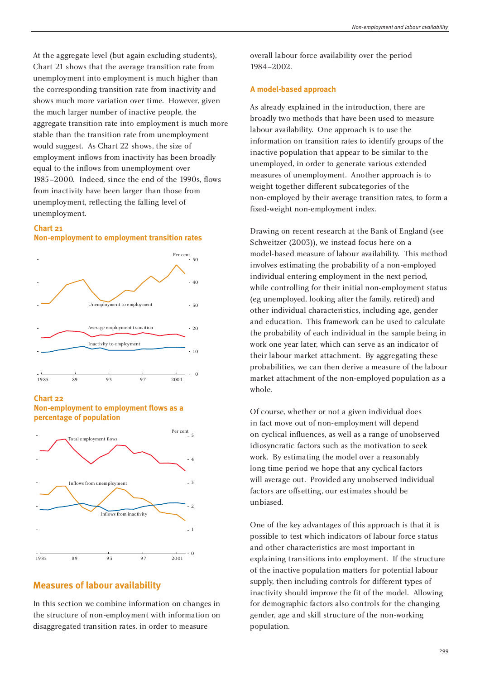At the aggregate level (but again excluding students), Chart 21 shows that the average transition rate from unemployment into employment is much higher than the corresponding transition rate from inactivity and shows much more variation over time. However, given the much larger number of inactive people, the aggregate transition rate into employment is much more stable than the transition rate from unemployment would suggest. As Chart 22 shows, the size of employment inflows from inactivity has been broadly equal to the inflows from unemployment over 1985–2000. Indeed, since the end of the 1990s, flows from inactivity have been larger than those from unemployment, reflecting the falling level of unemployment.

#### **Chart 21**





**Chart 22**





### **Measures of labour availability**

In this section we combine information on changes in the structure of non-employment with information on disaggregated transition rates, in order to measure

overall labour force availability over the period 1984–2002.

#### **A model-based approach**

As already explained in the introduction, there are broadly two methods that have been used to measure labour availability. One approach is to use the information on transition rates to identify groups of the inactive population that appear to be similar to the unemployed, in order to generate various extended measures of unemployment. Another approach is to weight together different subcategories of the non-employed by their average transition rates, to form a fixed-weight non-employment index.

Drawing on recent research at the Bank of England (see Schweitzer (2003)), we instead focus here on a model-based measure of labour availability. This method involves estimating the probability of a non-employed individual entering employment in the next period, while controlling for their initial non-employment status (eg unemployed, looking after the family, retired) and other individual characteristics, including age, gender and education. This framework can be used to calculate the probability of each individual in the sample being in work one year later, which can serve as an indicator of their labour market attachment. By aggregating these probabilities, we can then derive a measure of the labour market attachment of the non-employed population as a whole.

Of course, whether or not a given individual does in fact move out of non-employment will depend on cyclical influences, as well as a range of unobserved idiosyncratic factors such as the motivation to seek work. By estimating the model over a reasonably long time period we hope that any cyclical factors will average out. Provided any unobserved individual factors are offsetting, our estimates should be unbiased.

One of the key advantages of this approach is that it is possible to test which indicators of labour force status and other characteristics are most important in explaining transitions into employment. If the structure of the inactive population matters for potential labour supply, then including controls for different types of inactivity should improve the fit of the model. Allowing for demographic factors also controls for the changing gender, age and skill structure of the non-working population.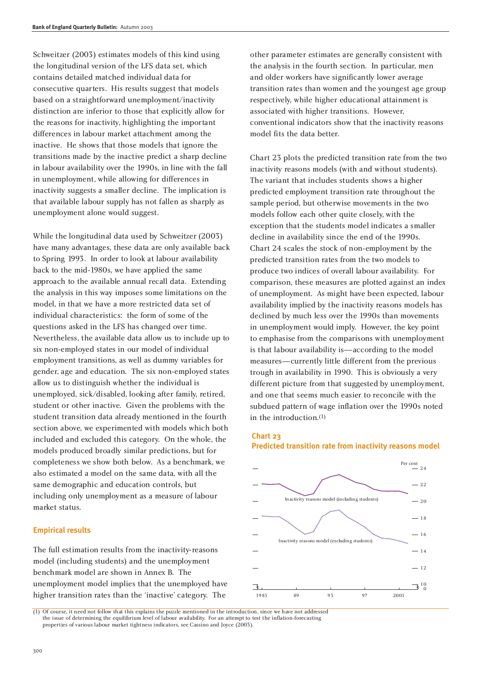Schweitzer (2003) estimates models of this kind using the longitudinal version of the LFS data set, which contains detailed matched individual data for consecutive quarters. His results suggest that models based on a straightforward unemployment/inactivity distinction are inferior to those that explicitly allow for the reasons for inactivity, highlighting the important differences in labour market attachment among the inactive. He shows that those models that ignore the transitions made by the inactive predict a sharp decline in labour availability over the 1990s, in line with the fall in unemployment, while allowing for differences in inactivity suggests a smaller decline. The implication is that available labour supply has not fallen as sharply as unemployment alone would suggest.

While the longitudinal data used by Schweitzer (2003) have many advantages, these data are only available back to Spring 1993. In order to look at labour availability back to the mid-1980s, we have applied the same approach to the available annual recall data. Extending the analysis in this way imposes some limitations on the model, in that we have a more restricted data set of individual characteristics: the form of some of the questions asked in the LFS has changed over time. Nevertheless, the available data allow us to include up to six non-employed states in our model of individual employment transitions, as well as dummy variables for gender, age and education. The six non-employed states allow us to distinguish whether the individual is unemployed, sick/disabled, looking after family, retired, student or other inactive. Given the problems with the student transition data already mentioned in the fourth section above, we experimented with models which both included and excluded this category. On the whole, the models produced broadly similar predictions, but for completeness we show both below. As a benchmark, we also estimated a model on the same data, with all the same demographic and education controls, but including only unemployment as a measure of labour market status.

#### **Empirical results**

The full estimation results from the inactivity-reasons model (including students) and the unemployment benchmark model are shown in Annex B. The unemployment model implies that the unemployed have higher transition rates than the 'inactive' category. The

other parameter estimates are generally consistent with the analysis in the fourth section. In particular, men and older workers have significantly lower average transition rates than women and the youngest age group respectively, while higher educational attainment is associated with higher transitions. However, conventional indicators show that the inactivity reasons model fits the data better.

Chart 23 plots the predicted transition rate from the two inactivity reasons models (with and without students). The variant that includes students shows a higher predicted employment transition rate throughout the sample period, but otherwise movements in the two models follow each other quite closely, with the exception that the students model indicates a smaller decline in availability since the end of the 1990s. Chart 24 scales the stock of non-employment by the predicted transition rates from the two models to produce two indices of overall labour availability. For comparison, these measures are plotted against an index of unemployment. As might have been expected, labour availability implied by the inactivity reasons models has declined by much less over the 1990s than movements in unemployment would imply. However, the key point to emphasise from the comparisons with unemployment is that labour availability is—according to the model measures—currently little different from the previous trough in availability in 1990. This is obviously a very different picture from that suggested by unemployment, and one that seems much easier to reconcile with the subdued pattern of wage inflation over the 1990s noted in the introduction.(1)





(1) Of course, it need not follow that this explains the puzzle mentioned in the introduction, since we have not addressed the issue of determining the equilibrium level of labour availability. For an attempt to test the inflation-forecasting properties of various labour market tightness indicators, see Cassino and Joyce (2003).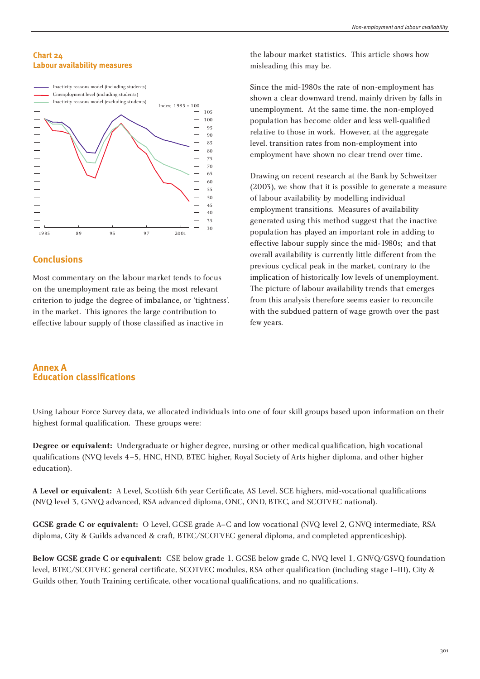

# **Conclusions**

Most commentary on the labour market tends to focus on the unemployment rate as being the most relevant criterion to judge the degree of imbalance, or 'tightness', in the market. This ignores the large contribution to effective labour supply of those classified as inactive in

#### *Non-employment and labour availability*

the labour market statistics. This article shows how misleading this may be.

Since the mid-1980s the rate of non-employment has shown a clear downward trend, mainly driven by falls in unemployment. At the same time, the non-employed population has become older and less well-qualified relative to those in work. However, at the aggregate level, transition rates from non-employment into employment have shown no clear trend over time.

Drawing on recent research at the Bank by Schweitzer (2003), we show that it is possible to generate a measure of labour availability by modelling individual employment transitions. Measures of availability generated using this method suggest that the inactive population has played an important role in adding to effective labour supply since the mid-1980s; and that overall availability is currently little different from the previous cyclical peak in the market, contrary to the implication of historically low levels of unemployment. The picture of labour availability trends that emerges from this analysis therefore seems easier to reconcile with the subdued pattern of wage growth over the past few years.

## **Annex A Education classifications**

Using Labour Force Survey data, we allocated individuals into one of four skill groups based upon information on their highest formal qualification. These groups were:

**Degree or equivalent:** Undergraduate or higher degree, nursing or other medical qualification, high vocational qualifications (NVQ levels 4–5, HNC, HND, BTEC higher, Royal Society of Arts higher diploma, and other higher education).

**A Level or equivalent:** A Level, Scottish 6th year Certificate, AS Level, SCE highers, mid-vocational qualifications (NVQ level 3, GNVQ advanced, RSA advanced diploma, ONC, OND, BTEC, and SCOTVEC national).

**GCSE grade C or equivalent:** O Level, GCSE grade A–C and low vocational (NVQ level 2, GNVQ intermediate, RSA diploma, City & Guilds advanced & craft, BTEC/SCOTVEC general diploma, and completed apprenticeship).

**Below GCSE grade C or equivalent:** CSE below grade 1, GCSE below grade C, NVQ level 1, GNVQ/GSVQ foundation level, BTEC/SCOTVEC general certificate, SCOTVEC modules, RSA other qualification (including stage I–III), City & Guilds other, Youth Training certificate, other vocational qualifications, and no qualifications.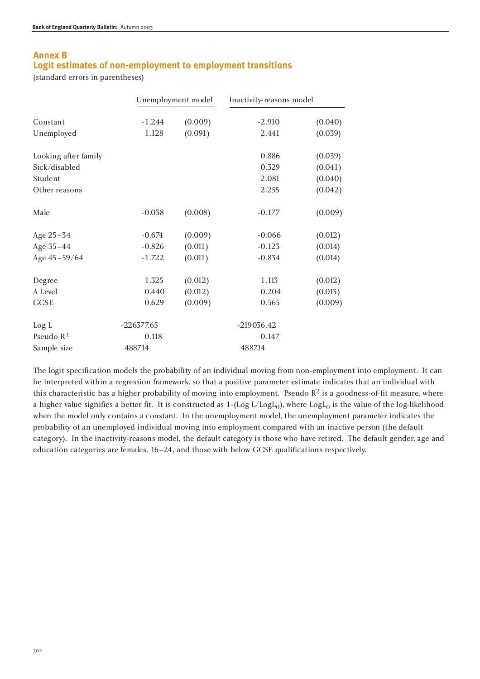# **Annex B Logit estimates of non-employment to employment transitions**

(standard errors in parentheses)

|                      |              | Unemployment model | Inactivity-reasons model |         |
|----------------------|--------------|--------------------|--------------------------|---------|
| Constant             | $-1.244$     | (0.009)            | $-2.910$                 | (0.040) |
| Unemployed           | 1.128        | (0.091)            | 2.441                    | (0.039) |
| Looking after family |              |                    | 0.886                    | (0.039) |
| Sick/disabled        |              |                    | 0.329                    | (0.041) |
| Student              |              |                    | 2.081                    | (0.040) |
| Other reasons        |              |                    | 2.255                    | (0.042) |
| Male                 | $-0.038$     | (0.008)            | $-0.177$                 | (0.009) |
| Age 25-34            | $-0.674$     | (0.009)            | $-0.066$                 | (0.012) |
| Age 35-44            | $-0.826$     | (0.011)            | $-0.123$                 | (0.014) |
| Age 45-59/64         | $-1.722$     | (0.011)            | $-0.834$                 | (0.014) |
| Degree               | 1.325        | (0.012)            | 1.113                    | (0.012) |
| A Level              | 0.440        | (0.012)            | 0.204                    | (0.013) |
| <b>GCSE</b>          | 0.629        | (0.009)            | 0.565                    | (0.009) |
| Log L                | $-226377.65$ |                    | $-219036.42$             |         |
| Pseudo $R^2$         | 0.118        |                    | 0.147                    |         |
| Sample size          | 488714       |                    | 488714                   |         |

The logit specification models the probability of an individual moving from non-employment into employment. It can be interpreted within a regression framework, so that a positive parameter estimate indicates that an individual with this characteristic has a higher probability of moving into employment. Pseudo  $R^2$  is a goodness-of-fit measure, where a higher value signifies a better fit. It is constructed as  $1-(\text{Log }L/\text{Log}L_0)$ , where  $\text{Log}L_0$  is the value of the log-likelihood when the model only contains a constant. In the unemployment model, the unemployment parameter indicates the probability of an unemployed individual moving into employment compared with an inactive person (the default category). In the inactivity-reasons model, the default category is those who have retired. The default gender, age and education categories are females, 16–24, and those with below GCSE qualifications respectively.